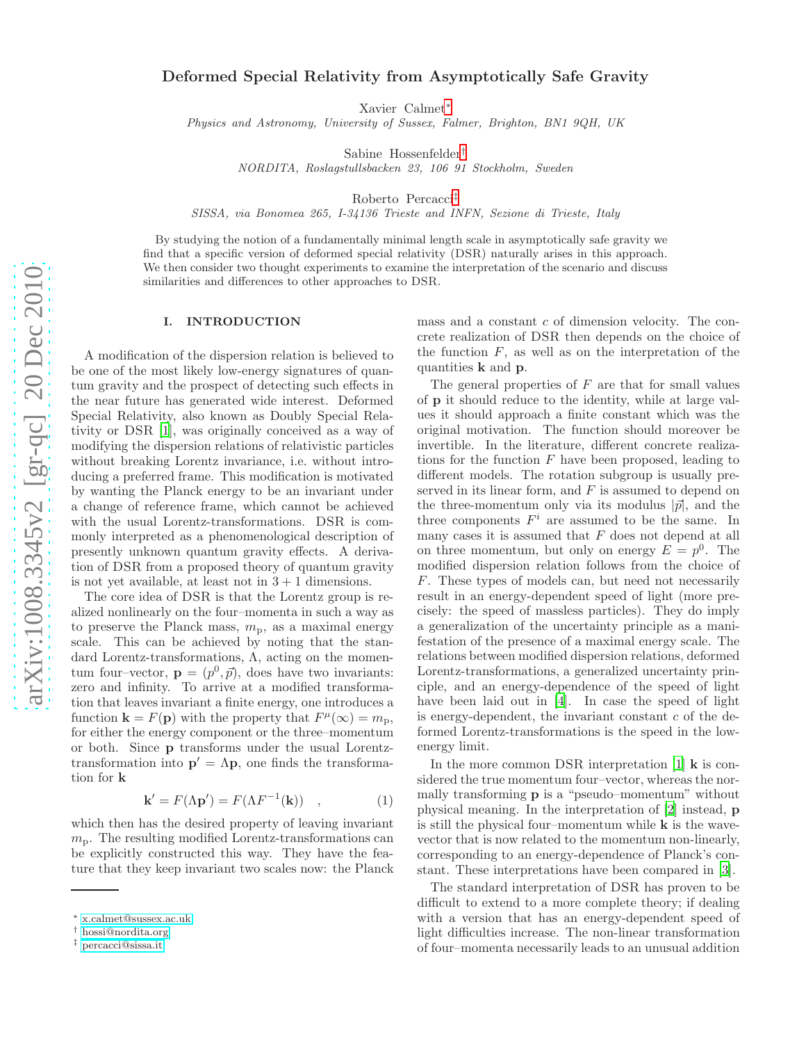# Deformed Special Relativity from Asymptotically Safe Gravity

Xavier Calmet [∗](#page-0-0)

Physics and Astronomy, University of Sussex, Falmer, Brighton, BN1 9QH, UK

Sabine Hossenfelder [†](#page-0-1)

NORDITA, Roslagstullsbacken 23, 106 91 Stockholm, Sweden

Roberto Percacci [‡](#page-0-2)

SISSA, via Bonomea 265, I-34136 Trieste and INFN, Sezione di Trieste, Italy

By studying the notion of a fundamentally minimal length scale in asymptotically safe gravity we find that a specific version of deformed special relativity (DSR) naturally arises in this approach. We then consider two thought experiments to examine the interpretation of the scenario and discuss similarities and differences to other approaches to DSR .

#### I. INTRODUCTION

A modification of the dispersion relation is believed to be one of the most likely low-energy signatures of quantum gravity and the prospect of detecting such effects in the near future has generated wide interest. Deformed Special Relativity, also known as Doubly Special Relativity or DSR [\[1\]](#page-4-0), was originally conceived as a way of modifying the dispersion relations of relativistic particles without breaking Lorentz invariance, i.e. without introducing a preferred frame. This modification is motivated by wanting the Planck energy to be an invariant under a change of reference frame, which cannot be achieved with the usual Lorentz-transformations. DSR is commonly interpreted as a phenomenological description of presently unknown quantum gravity effects. A derivation of DSR from a proposed theory of quantum gravity is not yet available, at least not in  $3 + 1$  dimensions.

The core idea of DSR is that the Lorentz group is realized nonlinearly on the four–momenta in such a way as to preserve the Planck mass,  $m_p$ , as a maximal energy scale. This can be achieved by noting that the standard Lorentz-transformations, Λ, acting on the momentum four-vector,  $\mathbf{p} = (p^0, \vec{p})$ , does have two invariants: zero and infinity. To arrive at a modified transformation that leaves invariant a finite energy, one introduces a function  $\mathbf{k} = F(\mathbf{p})$  with the property that  $F^{\mu}(\infty) = m_{\text{p}}$ , for either the energy component or the three–momentum or both. Since p transforms under the usual Lorentztransformation into  $\mathbf{p}' = \Lambda \mathbf{p}$ , one finds the transformation for k

$$
\mathbf{k}' = F(\Lambda \mathbf{p}') = F(\Lambda F^{-1}(\mathbf{k})) \quad , \tag{1}
$$

which then has the desired property of leaving invariant  $m_{\rm p}$ . The resulting modified Lorentz-transformations can be explicitly constructed this way. They have the feature that they keep invariant two scales now: the Planck

mass and a constant c of dimension velocity. The concrete realization of DSR then depends on the choice of the function  $F$ , as well as on the interpretation of the quantities k and p .

The general properties of  $F$  are that for small values of p it should reduce to the identity, while at large values it should approach a finite constant which was the original motivation. The function should moreover be invertible. In the literature, different concrete realizations for the function  $F$  have been proposed, leading to different models. The rotation subgroup is usually preserved in its linear form, and  $F$  is assumed to depend on the three-momentum only via its modulus  $|\vec{p}|$ , and the three components  $F^i$  are assumed to be the same. In many cases it is assumed that F does not depend at all on three momentum, but only on energy  $E = p^0$ . The modified dispersion relation follows from the choice of F. These types of models can, but need not necessarily result in an energy-dependent speed of light (more precisely: the speed of massless particles). They do imply a generalization of the uncertainty principle as a manifestation of the presence of a maximal energy scale. The relations between modified dispersion relations, deformed Lorentz-transformations, a generalized uncertainty principle, and an energy-dependence of the speed of light have been laid out in [\[4\]](#page-4-1). In case the speed of light is energy-dependent, the invariant constant c of the deformed Lorentz-transformations is the speed in the lowenergy limit.

In the more common DSR interpretation [\[1](#page-4-0)] **k** is considered the true momentum four–vector, whereas the normally transforming p is a "pseudo–momentum" without physical meaning. In the interpretation of [\[2](#page-4-2)] instead, p is still the physical four-momentum while  $k$  is the wavevector that is now related to the momentum non-linearly, corresponding to an energy-dependence of Planck's constant. These interpretations have been compared in [\[3\]](#page-4-3).

The standard interpretation of DSR has proven to be difficult to extend to a more complete theory; if dealing with a version that has an energy-dependent speed of light difficulties increase. The non-linear transformation of four–momenta necessarily leads to an unusual addition

<span id="page-0-0"></span><sup>∗</sup> [x.calmet@sussex.ac.uk](mailto:x.calmet@sussex.ac.uk)

<span id="page-0-1"></span><sup>†</sup> [hossi@nordita.org](mailto:hossi@nordita.org)

<span id="page-0-2"></span><sup>‡</sup> [percacci@sissa.it](mailto:percacci@sissa.it)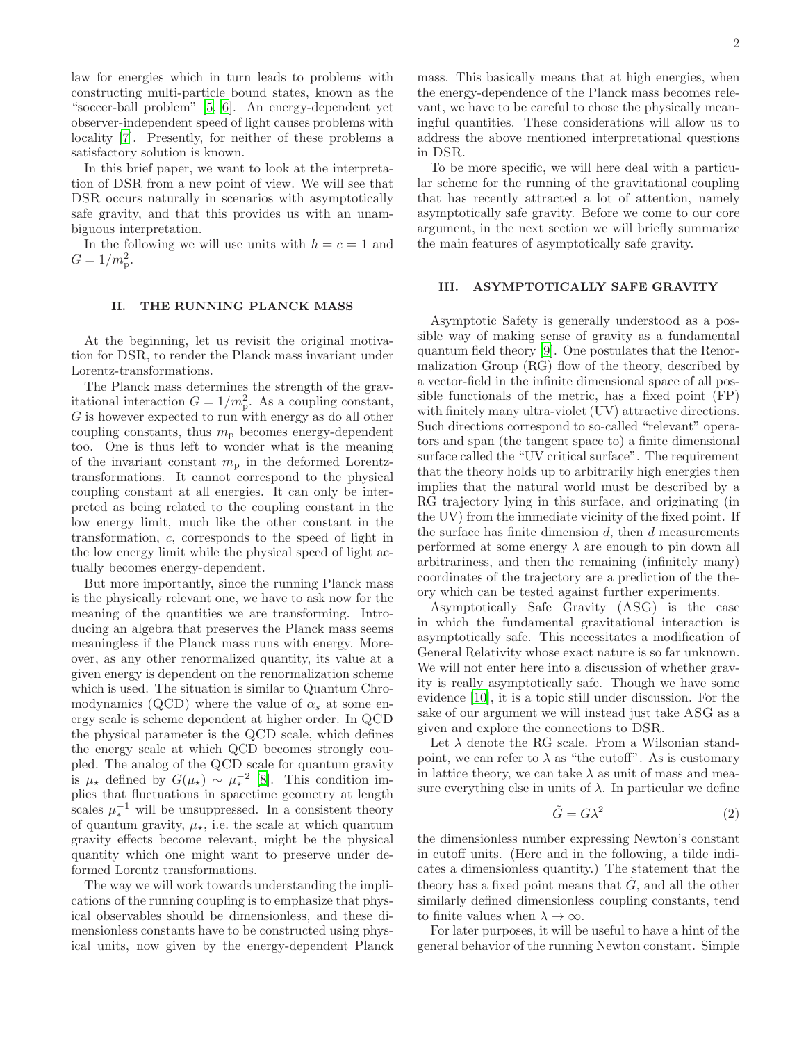law for energies which in turn leads to problems with constructing multi-particle bound states, known as the "soccer-ball problem" [\[5,](#page-4-4) [6\]](#page-5-0). An energy-dependent yet observer-independent speed of light causes problems with locality [\[7](#page-5-1)]. Presently, for neither of these problems a satisfactory solution is known.

In this brief paper, we want to look at the interpretation of DSR from a new point of view. We will see that DSR occurs naturally in scenarios with asymptotically safe gravity, and that this provides us with an unambiguous interpretation.

In the following we will use units with  $\hbar = c = 1$  and  $G = 1/m_{\rm p}^2$ .

## II. THE RUNNING PLANCK MASS

At the beginning, let us revisit the original motivation for DSR, to render the Planck mass invariant under Lorentz-transformations.

The Planck mass determines the strength of the gravitational interaction  $G = 1/m_p^2$ . As a coupling constant, G is however expected to run with energy as do all other coupling constants, thus  $m_p$  becomes energy-dependent too. One is thus left to wonder what is the meaning of the invariant constant  $m_{\rm p}$  in the deformed Lorentztransformations. It cannot correspond to the physical coupling constant at all energies. It can only be interpreted as being related to the coupling constant in the low energy limit, much like the other constant in the transformation, c, corresponds to the speed of light in the low energy limit while the physical speed of light actually becomes energy-dependent.

But more importantly, since the running Planck mass is the physically relevant one, we have to ask now for the meaning of the quantities we are transforming. Introducing an algebra that preserves the Planck mass seems meaningless if the Planck mass runs with energy. Moreover, as any other renormalized quantity, its value at a given energy is dependent on the renormalization scheme which is used. The situation is similar to Quantum Chromodynamics (QCD) where the value of  $\alpha_s$  at some energy scale is scheme dependent at higher order. In QCD the physical parameter is the QCD scale, which defines the energy scale at which QCD becomes strongly coupled. The analog of the QCD scale for quantum gravity is  $\mu_{\star}$  defined by  $G(\mu_{\star}) \sim \mu_{\star}^{-2}$  [\[8\]](#page-5-2). This condition implies that fluctuations in spacetime geometry at length scales  $\mu_*^{-1}$  will be unsuppressed. In a consistent theory of quantum gravity,  $\mu_{\star}$ , i.e. the scale at which quantum gravity effects become relevant, might be the physical quantity which one might want to preserve under deformed Lorentz transformations.

The way we will work towards understanding the implications of the running coupling is to emphasize that physical observables should be dimensionless, and these dimensionless constants have to be constructed using physical units, now given by the energy-dependent Planck mass. This basically means that at high energies, when the energy-dependence of the Planck mass becomes relevant, we have to be careful to chose the physically meaningful quantities. These considerations will allow us to address the above mentioned interpretational questions in DSR.

To be more specific, we will here deal with a particular scheme for the running of the gravitational coupling that has recently attracted a lot of attention, namely asymptotically safe gravity. Before we come to our core argument, in the next section we will briefly summarize the main features of asymptotically safe gravity.

#### III. ASYMPTOTICALLY SAFE GRAVITY

Asymptotic Safety is generally understood as a possible way of making sense of gravity as a fundamental quantum field theory [\[9\]](#page-5-3). One postulates that the Renormalization Group (RG) flow of the theory, described by a vector-field in the infinite dimensional space of all possible functionals of the metric, has a fixed point (FP) with finitely many ultra-violet (UV) attractive directions. Such directions correspond to so-called "relevant" operators and span (the tangent space to) a finite dimensional surface called the "UV critical surface". The requirement that the theory holds up to arbitrarily high energies then implies that the natural world must be described by a RG trajectory lying in this surface, and originating (in the UV) from the immediate vicinity of the fixed point. If the surface has finite dimension  $d$ , then  $d$  measurements performed at some energy  $\lambda$  are enough to pin down all arbitrariness, and then the remaining (infinitely many) coordinates of the trajectory are a prediction of the theory which can be tested against further experiments.

Asymptotically Safe Gravity (ASG) is the case in which the fundamental gravitational interaction is asymptotically safe. This necessitates a modification of General Relativity whose exact nature is so far unknown. We will not enter here into a discussion of whether gravity is really asymptotically safe. Though we have some evidence [\[10\]](#page-5-4), it is a topic still under discussion. For the sake of our argument we will instead just take ASG as a given and explore the connections to DSR.

Let  $\lambda$  denote the RG scale. From a Wilsonian standpoint, we can refer to  $\lambda$  as "the cutoff". As is customary in lattice theory, we can take  $\lambda$  as unit of mass and measure everything else in units of  $\lambda$ . In particular we define

$$
\tilde{G} = G\lambda^2 \tag{2}
$$

the dimensionless number expressing Newton's constant in cutoff units. (Here and in the following, a tilde indicates a dimensionless quantity.) The statement that the theory has a fixed point means that  $G$ , and all the other similarly defined dimensionless coupling constants, tend to finite values when  $\lambda \to \infty$ .

For later purposes, it will be useful to have a hint of the general behavior of the running Newton constant. Simple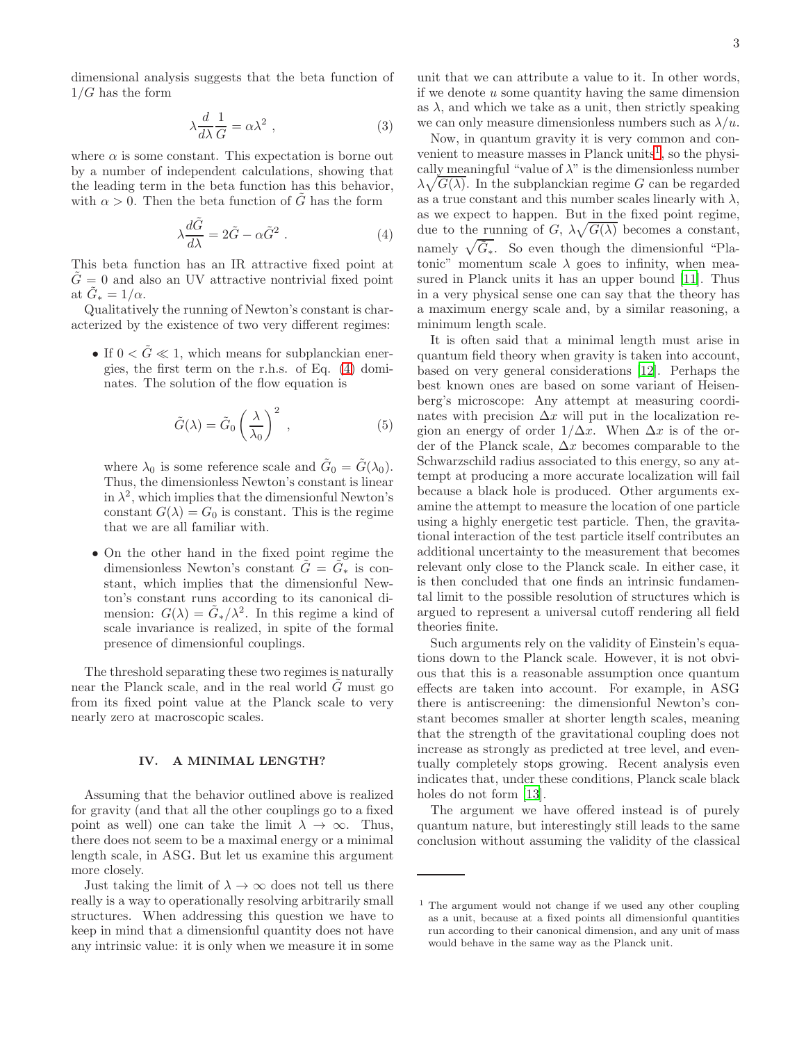dimensional analysis suggests that the beta function of  $1/G$  has the form

$$
\lambda \frac{d}{d\lambda} \frac{1}{G} = \alpha \lambda^2 \;, \tag{3}
$$

where  $\alpha$  is some constant. This expectation is borne out by a number of independent calculations, showing that the leading term in the beta function has this behavior, with  $\alpha > 0$ . Then the beta function of G has the form

<span id="page-2-0"></span>
$$
\lambda \frac{d\tilde{G}}{d\lambda} = 2\tilde{G} - \alpha \tilde{G}^2 \ . \tag{4}
$$

This beta function has an IR attractive fixed point at  $G = 0$  and also an UV attractive nontrivial fixed point at  $\tilde{G}_* = 1/\alpha$ .

Qualitatively the running of Newton's constant is characterized by the existence of two very different regimes:

• If  $0 < \tilde{G} \ll 1$ , which means for subplanckian energies, the first term on the r.h.s. of Eq. [\(4\)](#page-2-0) dominates. The solution of the flow equation is

$$
\tilde{G}(\lambda) = \tilde{G}_0 \left(\frac{\lambda}{\lambda_0}\right)^2 , \qquad (5)
$$

where  $\lambda_0$  is some reference scale and  $\tilde{G}_0 = \tilde{G}(\lambda_0)$ . Thus, the dimensionless Newton's constant is linear in  $\lambda^2$ , which implies that the dimensionful Newton's constant  $G(\lambda) = G_0$  is constant. This is the regime that we are all familiar with.

• On the other hand in the fixed point regime the dimensionless Newton's constant  $\tilde{G} = \tilde{G}_*$  is constant, which implies that the dimensionful Newton's constant runs according to its canonical dimension:  $G(\lambda) = \tilde{G}_{*}/\lambda^{2}$ . In this regime a kind of scale invariance is realized, in spite of the formal presence of dimensionful couplings.

The threshold separating these two regimes is naturally near the Planck scale, and in the real world  $G$  must go from its fixed point value at the Planck scale to very nearly zero at macroscopic scales.

## IV. A MINIMAL LENGTH?

Assuming that the behavior outlined above is realized for gravity (and that all the other couplings go to a fixed point as well) one can take the limit  $\lambda \to \infty$ . Thus, there does not seem to be a maximal energy or a minimal length scale, in ASG. But let us examine this argument more closely.

Just taking the limit of  $\lambda \to \infty$  does not tell us there really is a way to operationally resolving arbitrarily small structures. When addressing this question we have to keep in mind that a dimensionful quantity does not have any intrinsic value: it is only when we measure it in some

unit that we can attribute a value to it. In other words, if we denote  $u$  some quantity having the same dimension as  $\lambda$ , and which we take as a unit, then strictly speaking we can only measure dimensionless numbers such as  $\lambda/u$ .

Now, in quantum gravity it is very common and con-venient to measure masses in Planck units<sup>[1](#page-2-1)</sup>, so the physically meaningful "value of  $\lambda$ " is the dimensionless number  $\lambda\sqrt{G(\lambda)}$ . In the subplanckian regime G can be regarded as a true constant and this number scales linearly with  $\lambda$ , as we expect to happen. But in the fixed point regime, due to the running of G,  $\lambda \sqrt{G(\lambda)}$  becomes a constant, namely  $\sqrt{\tilde{G}_{*}}$ . So even though the dimensionful "Platonic" momentum scale  $\lambda$  goes to infinity, when measured in Planck units it has an upper bound [\[11](#page-5-5)]. Thus in a very physical sense one can say that the theory has a maximum energy scale and, by a similar reasoning, a minimum length scale.

It is often said that a minimal length must arise in quantum field theory when gravity is taken into account, based on very general considerations [\[12\]](#page-5-6). Perhaps the best known ones are based on some variant of Heisenberg's microscope: Any attempt at measuring coordinates with precision  $\Delta x$  will put in the localization region an energy of order  $1/\Delta x$ . When  $\Delta x$  is of the order of the Planck scale,  $\Delta x$  becomes comparable to the Schwarzschild radius associated to this energy, so any attempt at producing a more accurate localization will fail because a black hole is produced. Other arguments examine the attempt to measure the location of one particle using a highly energetic test particle. Then, the gravitational interaction of the test particle itself contributes an additional uncertainty to the measurement that becomes relevant only close to the Planck scale. In either case, it is then concluded that one finds an intrinsic fundamental limit to the possible resolution of structures which is argued to represent a universal cutoff rendering all field theories finite.

Such arguments rely on the validity of Einstein's equations down to the Planck scale. However, it is not obvious that this is a reasonable assumption once quantum effects are taken into account. For example, in ASG there is antiscreening: the dimensionful Newton's constant becomes smaller at shorter length scales, meaning that the strength of the gravitational coupling does not increase as strongly as predicted at tree level, and eventually completely stops growing. Recent analysis even indicates that, under these conditions, Planck scale black holes do not form [\[13\]](#page-5-7).

The argument we have offered instead is of purely quantum nature, but interestingly still leads to the same conclusion without assuming the validity of the classical

<span id="page-2-1"></span><sup>&</sup>lt;sup>1</sup> The argument would not change if we used any other coupling as a unit, because at a fixed points all dimensionful quantities run according to their canonical dimension, and any unit of mass would behave in the same way as the Planck unit.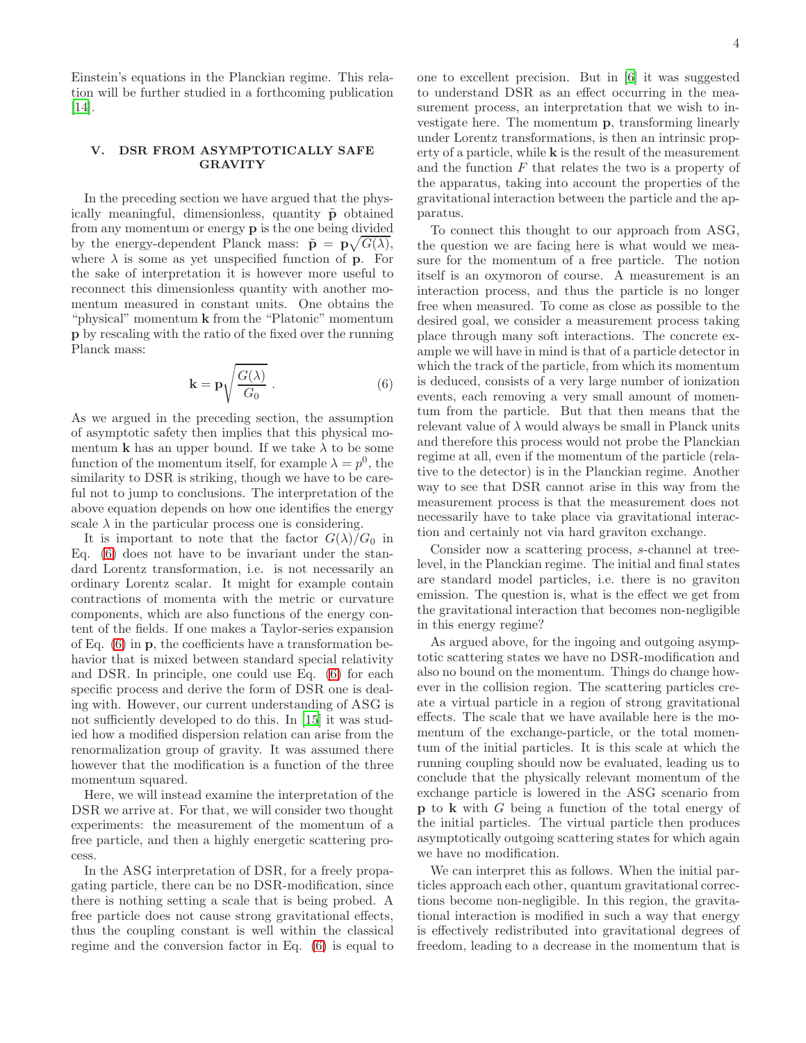Einstein's equations in the Planckian regime. This relation will be further studied in a forthcoming publication [\[14\]](#page-5-8).

# V. DSR FROM ASYMPTOTICALLY SAFE GRAVITY

In the preceding section we have argued that the physically meaningful, dimensionless, quantity  $\tilde{p}$  obtained from any momentum or energy p is the one being divided by the energy-dependent Planck mass:  $\tilde{\mathbf{p}} = \mathbf{p}\sqrt{G(\lambda)},$ where  $\lambda$  is some as yet unspecified function of **p**. For the sake of interpretation it is however more useful to reconnect this dimensionless quantity with another momentum measured in constant units. One obtains the "physical" momentum k from the "Platonic" momentum p by rescaling with the ratio of the fixed over the running Planck mass:

<span id="page-3-0"></span>
$$
\mathbf{k} = \mathbf{p} \sqrt{\frac{G(\lambda)}{G_0}} \ . \tag{6}
$$

As we argued in the preceding section, the assumption of asymptotic safety then implies that this physical momentum **k** has an upper bound. If we take  $\lambda$  to be some function of the momentum itself, for example  $\lambda = p^0$ , the similarity to DSR is striking, though we have to be careful not to jump to conclusions. The interpretation of the above equation depends on how one identifies the energy scale  $\lambda$  in the particular process one is considering.

It is important to note that the factor  $G(\lambda)/G_0$  in Eq. [\(6\)](#page-3-0) does not have to be invariant under the standard Lorentz transformation, i.e. is not necessarily an ordinary Lorentz scalar. It might for example contain contractions of momenta with the metric or curvature components, which are also functions of the energy content of the fields. If one makes a Taylor-series expansion of Eq. [\(6\)](#page-3-0) in p, the coefficients have a transformation behavior that is mixed between standard special relativity and DSR. In principle, one could use Eq. [\(6\)](#page-3-0) for each specific process and derive the form of DSR one is dealing with. However, our current understanding of ASG is not sufficiently developed to do this. In [\[15\]](#page-5-9) it was studied how a modified dispersion relation can arise from the renormalization group of gravity. It was assumed there however that the modification is a function of the three momentum squared.

Here, we will instead examine the interpretation of the DSR we arrive at. For that, we will consider two thought experiments: the measurement of the momentum of a free particle, and then a highly energetic scattering process.

In the ASG interpretation of DSR, for a freely propagating particle, there can be no DSR-modification, since there is nothing setting a scale that is being probed. A free particle does not cause strong gravitational effects, thus the coupling constant is well within the classical regime and the conversion factor in Eq. [\(6\)](#page-3-0) is equal to one to excellent precision. But in [\[6\]](#page-5-0) it was suggested to understand DSR as an effect occurring in the measurement process, an interpretation that we wish to investigate here. The momentum p, transforming linearly under Lorentz transformations, is then an intrinsic property of a particle, while k is the result of the measurement and the function  $F$  that relates the two is a property of the apparatus, taking into account the properties of the gravitational interaction between the particle and the apparatus.

To connect this thought to our approach from ASG, the question we are facing here is what would we measure for the momentum of a free particle. The notion itself is an oxymoron of course. A measurement is an interaction process, and thus the particle is no longer free when measured. To come as close as possible to the desired goal, we consider a measurement process taking place through many soft interactions. The concrete example we will have in mind is that of a particle detector in which the track of the particle, from which its momentum is deduced, consists of a very large number of ionization events, each removing a very small amount of momentum from the particle. But that then means that the relevant value of  $\lambda$  would always be small in Planck units and therefore this process would not probe the Planckian regime at all, even if the momentum of the particle (relative to the detector) is in the Planckian regime. Another way to see that DSR cannot arise in this way from the measurement process is that the measurement does not necessarily have to take place via gravitational interaction and certainly not via hard graviton exchange.

Consider now a scattering process, s-channel at treelevel, in the Planckian regime. The initial and final states are standard model particles, i.e. there is no graviton emission. The question is, what is the effect we get from the gravitational interaction that becomes non-negligible in this energy regime?

As argued above, for the ingoing and outgoing asymptotic scattering states we have no DSR-modification and also no bound on the momentum. Things do change however in the collision region. The scattering particles create a virtual particle in a region of strong gravitational effects. The scale that we have available here is the momentum of the exchange-particle, or the total momentum of the initial particles. It is this scale at which the running coupling should now be evaluated, leading us to conclude that the physically relevant momentum of the exchange particle is lowered in the ASG scenario from p to k with G being a function of the total energy of the initial particles. The virtual particle then produces asymptotically outgoing scattering states for which again we have no modification.

We can interpret this as follows. When the initial particles approach each other, quantum gravitational corrections become non-negligible. In this region, the gravitational interaction is modified in such a way that energy is effectively redistributed into gravitational degrees of freedom, leading to a decrease in the momentum that is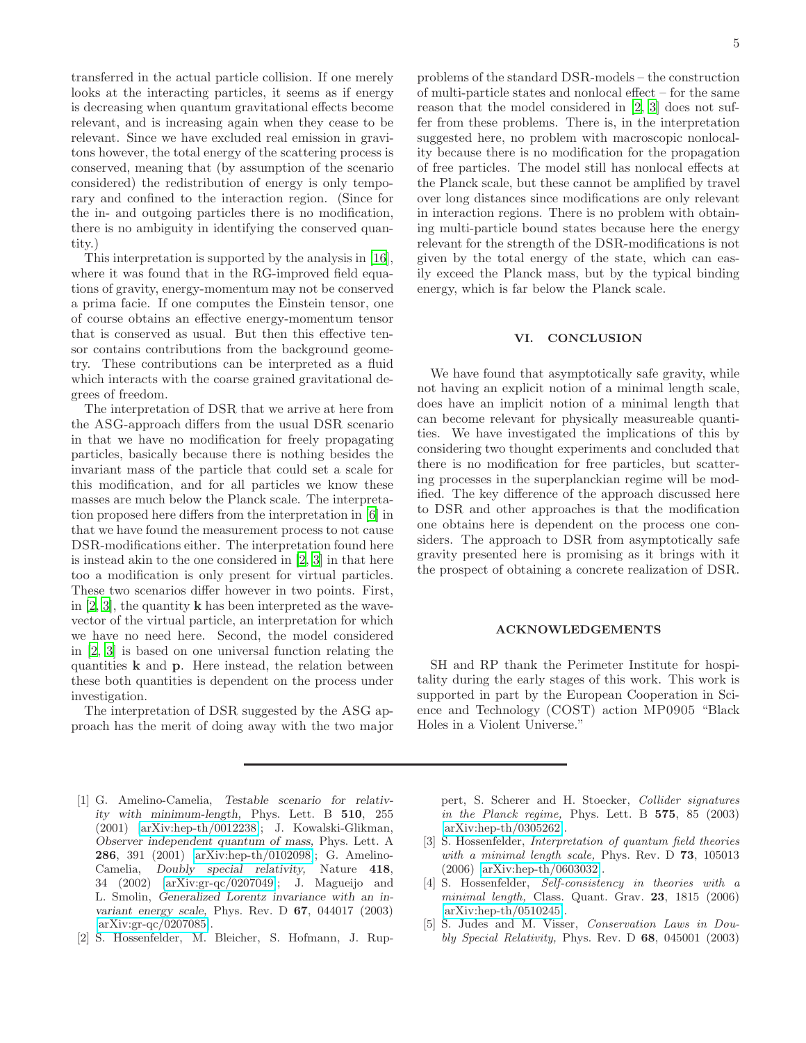transferred in the actual particle collision. If one merely looks at the interacting particles, it seems as if energy is decreasing when quantum gravitational effects become relevant, and is increasing again when they cease to be relevant. Since we have excluded real emission in gravitons however, the total energy of the scattering process is conserved, meaning that (by assumption of the scenario considered) the redistribution of energy is only temporary and confined to the interaction region. (Since for the in- and outgoing particles there is no modification, there is no ambiguity in identifying the conserved quantity.)

This interpretation is supported by the analysis in [\[16\]](#page-5-10), where it was found that in the RG-improved field equations of gravity, energy-momentum may not be conserved a prima facie. If one computes the Einstein tensor, one of course obtains an effective energy-momentum tensor that is conserved as usual. But then this effective tensor contains contributions from the background geometry. These contributions can be interpreted as a fluid which interacts with the coarse grained gravitational degrees of freedom.

The interpretation of DSR that we arrive at here from the ASG-approach differs from the usual DSR scenario in that we have no modification for freely propagating particles, basically because there is nothing besides the invariant mass of the particle that could set a scale for this modification, and for all particles we know these masses are much below the Planck scale. The interpretation proposed here differs from the interpretation in [\[6](#page-5-0)] in that we have found the measurement process to not cause DSR-modifications either. The interpretation found here is instead akin to the one considered in [\[2](#page-4-2), [3\]](#page-4-3) in that here too a modification is only present for virtual particles. These two scenarios differ however in two points. First, in  $[2, 3]$  $[2, 3]$  $[2, 3]$ , the quantity **k** has been interpreted as the wavevector of the virtual particle, an interpretation for which we have no need here. Second, the model considered in [\[2](#page-4-2), [3\]](#page-4-3) is based on one universal function relating the quantities k and p. Here instead, the relation between these both quantities is dependent on the process under investigation.

The interpretation of DSR suggested by the ASG approach has the merit of doing away with the two major

- <span id="page-4-0"></span>[1] G. Amelino-Camelia, Testable scenario for relativity with minimum-length, Phys. Lett. B 510, 255 (2001) [\[arXiv:hep-th/0012238\]](http://arxiv.org/abs/hep-th/0012238); J. Kowalski-Glikman, Observer independent quantum of mass, Phys. Lett. A 286, 391 (2001) [\[arXiv:hep-th/0102098\]](http://arxiv.org/abs/hep-th/0102098); G. Amelino-Camelia, Doubly special relativity, Nature 418, 34 (2002) [\[arXiv:gr-qc/0207049\]](http://arxiv.org/abs/gr-qc/0207049); J. Magueijo and L. Smolin, Generalized Lorentz invariance with an invariant energy scale, Phys. Rev. D  $67$ , 044017 (2003) [\[arXiv:gr-qc/0207085\]](http://arxiv.org/abs/gr-qc/0207085).
- <span id="page-4-2"></span>[2] S. Hossenfelder, M. Bleicher, S. Hofmann, J. Rup-

problems of the standard DSR-models – the construction of multi-particle states and nonlocal effect – for the same reason that the model considered in [\[2](#page-4-2), [3\]](#page-4-3) does not suffer from these problems. There is, in the interpretation suggested here, no problem with macroscopic nonlocality because there is no modification for the propagation of free particles. The model still has nonlocal effects at the Planck scale, but these cannot be amplified by travel over long distances since modifications are only relevant in interaction regions. There is no problem with obtaining multi-particle bound states because here the energy relevant for the strength of the DSR-modifications is not given by the total energy of the state, which can easily exceed the Planck mass, but by the typical binding energy, which is far below the Planck scale.

#### VI. CONCLUSION

We have found that asymptotically safe gravity, while not having an explicit notion of a minimal length scale, does have an implicit notion of a minimal length that can become relevant for physically measureable quantities. We have investigated the implications of this by considering two thought experiments and concluded that there is no modification for free particles, but scattering processes in the superplanckian regime will be modified. The key difference of the approach discussed here to DSR and other approaches is that the modification one obtains here is dependent on the process one considers. The approach to DSR from asymptotically safe gravity presented here is promising as it brings with it the prospect of obtaining a concrete realization of DSR.

#### ACKNOWLEDGEMENTS

SH and RP thank the Perimeter Institute for hospitality during the early stages of this work. This work is supported in part by the European Cooperation in Science and Technology (COST) action MP0905 "Black Holes in a Violent Universe."

pert, S. Scherer and H. Stoecker, Collider signatures in the Planck regime, Phys. Lett. B 575, 85 (2003) [\[arXiv:hep-th/0305262\]](http://arxiv.org/abs/hep-th/0305262).

- <span id="page-4-3"></span>[3] S. Hossenfelder, Interpretation of quantum field theories with a minimal length scale, Phys. Rev. D 73, 105013 (2006) [\[arXiv:hep-th/0603032\]](http://arxiv.org/abs/hep-th/0603032).
- <span id="page-4-1"></span>[4] S. Hossenfelder, Self-consistency in theories with a minimal length, Class. Quant. Grav. 23, 1815 (2006) [\[arXiv:hep-th/0510245\]](http://arxiv.org/abs/hep-th/0510245).
- <span id="page-4-4"></span>[5] S. Judes and M. Visser, Conservation Laws in Doubly Special Relativity, Phys. Rev. D 68, 045001 (2003)